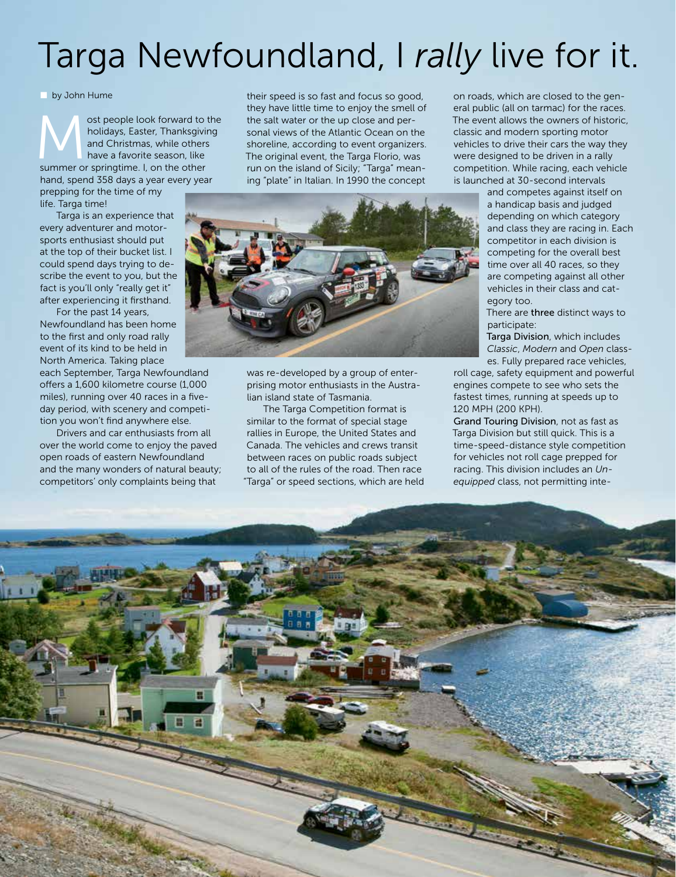## Targa Newfoundland, I rally live for it.

by John Hume

ost people look forward to the holidays, Easter, Thanksgiving<br>
and Christmas, while others<br>
have a favorite season, like<br>
summer or springtime. I, on the other holidays, Easter, Thanksgiving and Christmas, while others have a favorite season, like hand, spend 358 days a year every year

prepping for the time of my life. Targa time!

Targa is an experience that every adventurer and motorsports enthusiast should put at the top of their bucket list. I could spend days trying to describe the event to you, but the fact is you'll only "really get it" after experiencing it firsthand.

For the past 14 years, Newfoundland has been home to the first and only road rally event of its kind to be held in North America. Taking place

each September, Targa Newfoundland offers a 1,600 kilometre course (1,000 miles), running over 40 races in a fiveday period, with scenery and competition you won't find anywhere else.

Drivers and car enthusiasts from all over the world come to enjoy the paved open roads of eastern Newfoundland and the many wonders of natural beauty; competitors' only complaints being that

they have little time to enjoy the smell of the salt water or the up close and personal views of the Atlantic Ocean on the shoreline, according to event organizers. The original event, the Targa Florio, was run on the island of Sicily; "Targa" meaning "plate" in Italian. In 1990 the concept



was re-developed by a group of enterprising motor enthusiasts in the Australian island state of Tasmania.

The Targa Competition format is similar to the format of special stage rallies in Europe, the United States and Canada. The vehicles and crews transit between races on public roads subject to all of the rules of the road. Then race "Targa" or speed sections, which are held on roads, which are closed to the general public (all on tarmac) for the races. The event allows the owners of historic, classic and modern sporting motor vehicles to drive their cars the way they were designed to be driven in a rally competition. While racing, each vehicle is launched at 30-second intervals

and competes against itself on a handicap basis and judged depending on which category and class they are racing in. Each competitor in each division is competing for the overall best time over all 40 races, so they are competing against all other vehicles in their class and category too.

There are three distinct ways to participate:

Targa Division, which includes *Classic*, *Modern* and *Open* classes. Fully prepared race vehicles,

roll cage, safety equipment and powerful engines compete to see who sets the fastest times, running at speeds up to 120 MPH (200 KPH).

Grand Touring Division, not as fast as Targa Division but still quick. This is a time-speed-distance style competition for vehicles not roll cage prepped for racing. This division includes an *Unequipped* class, not permitting inte-

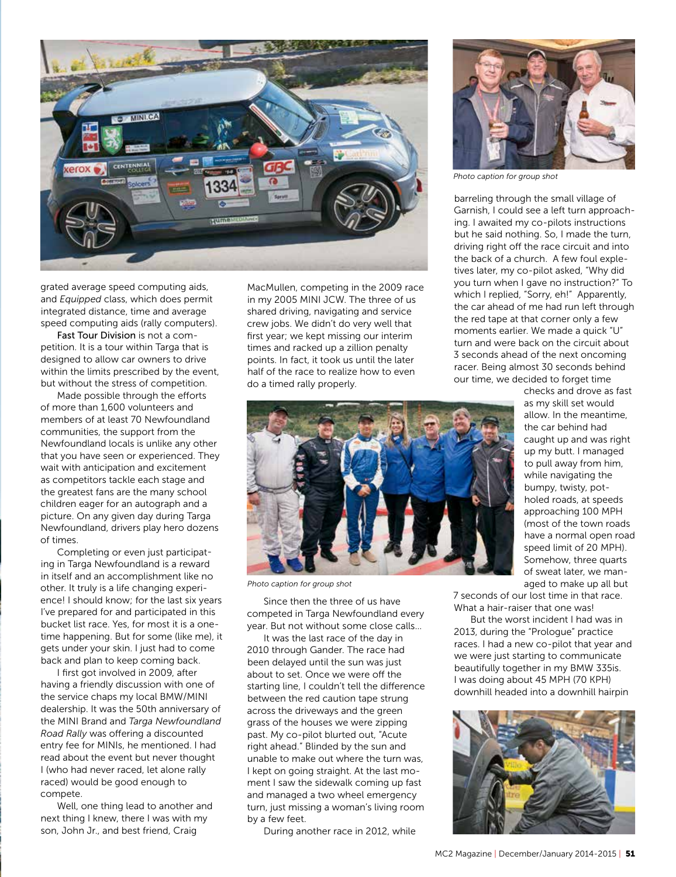

grated average speed computing aids, and *Equipped* class, which does permit integrated distance, time and average speed computing aids (rally computers).

Fast Tour Division is not a competition. It is a tour within Targa that is designed to allow car owners to drive within the limits prescribed by the event, but without the stress of competition.

Made possible through the efforts of more than 1,600 volunteers and members of at least 70 Newfoundland communities, the support from the Newfoundland locals is unlike any other that you have seen or experienced. They wait with anticipation and excitement as competitors tackle each stage and the greatest fans are the many school children eager for an autograph and a picture. On any given day during Targa Newfoundland, drivers play hero dozens of times.

Completing or even just participating in Targa Newfoundland is a reward in itself and an accomplishment like no other. It truly is a life changing experience! I should know; for the last six years I've prepared for and participated in this bucket list race. Yes, for most it is a onetime happening. But for some (like me), it gets under your skin. I just had to come back and plan to keep coming back.

I first got involved in 2009, after having a friendly discussion with one of the service chaps my local BMW/MINI dealership. It was the 50th anniversary of the MINI Brand and *Targa Newfoundland Road Rally* was offering a discounted entry fee for MINIs, he mentioned. I had read about the event but never thought I (who had never raced, let alone rally raced) would be good enough to compete.

Well, one thing lead to another and next thing I knew, there I was with my son, John Jr., and best friend, Craig

MacMullen, competing in the 2009 race in my 2005 MINI JCW. The three of us shared driving, navigating and service crew jobs. We didn't do very well that first year; we kept missing our interim times and racked up a zillion penalty points. In fact, it took us until the later half of the race to realize how to even do a timed rally properly.



*Photo caption for group shot*

barreling through the small village of Garnish, I could see a left turn approaching. I awaited my co-pilots instructions but he said nothing. So, I made the turn, driving right off the race circuit and into the back of a church. A few foul expletives later, my co-pilot asked, "Why did you turn when I gave no instruction?" To which I replied, "Sorry, eh!" Apparently, the car ahead of me had run left through the red tape at that corner only a few moments earlier. We made a quick "U" turn and were back on the circuit about 3 seconds ahead of the next oncoming racer. Being almost 30 seconds behind our time, we decided to forget time



*Photo caption for group shot*

Since then the three of us have competed in Targa Newfoundland every year. But not without some close calls…

It was the last race of the day in 2010 through Gander. The race had been delayed until the sun was just about to set. Once we were off the starting line, I couldn't tell the difference between the red caution tape strung across the driveways and the green grass of the houses we were zipping past. My co-pilot blurted out, "Acute right ahead." Blinded by the sun and unable to make out where the turn was, I kept on going straight. At the last moment I saw the sidewalk coming up fast and managed a two wheel emergency turn, just missing a woman's living room by a few feet.

During another race in 2012, while

checks and drove as fast as my skill set would allow. In the meantime, the car behind had caught up and was right up my butt. I managed to pull away from him, while navigating the bumpy, twisty, potholed roads, at speeds approaching 100 MPH (most of the town roads have a normal open road speed limit of 20 MPH). Somehow, three quarts of sweat later, we managed to make up all but

7 seconds of our lost time in that race. What a hair-raiser that one was!

But the worst incident I had was in 2013, during the "Prologue" practice races. I had a new co-pilot that year and we were just starting to communicate beautifully together in my BMW 335is. I was doing about 45 MPH (70 KPH) downhill headed into a downhill hairpin

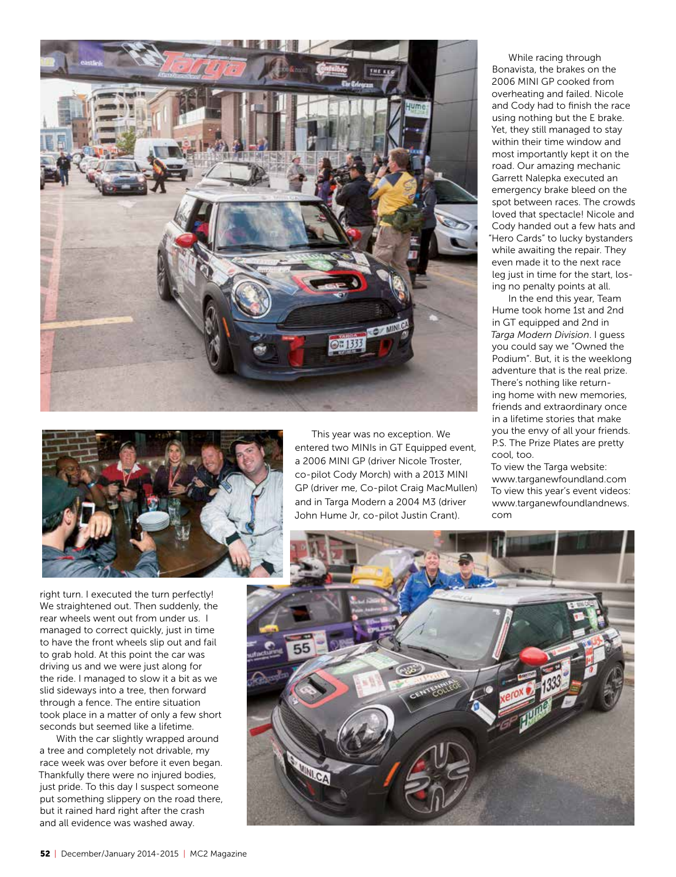



right turn. I executed the turn perfectly! We straightened out. Then suddenly, the rear wheels went out from under us. I managed to correct quickly, just in time to have the front wheels slip out and fail to grab hold. At this point the car was driving us and we were just along for the ride. I managed to slow it a bit as we slid sideways into a tree, then forward through a fence. The entire situation took place in a matter of only a few short seconds but seemed like a lifetime.

With the car slightly wrapped around a tree and completely not drivable, my race week was over before it even began. Thankfully there were no injured bodies, just pride. To this day I suspect someone put something slippery on the road there, but it rained hard right after the crash and all evidence was washed away.

This year was no exception. We entered two MINIs in GT Equipped event, a 2006 MINI GP (driver Nicole Troster, co-pilot Cody Morch) with a 2013 MINI GP (driver me, Co-pilot Craig MacMullen) and in Targa Modern a 2004 M3 (driver John Hume Jr, co-pilot Justin Crant).

While racing through Bonavista, the brakes on the 2006 MINI GP cooked from overheating and failed. Nicole and Cody had to finish the race using nothing but the E brake. Yet, they still managed to stay within their time window and most importantly kept it on the road. Our amazing mechanic Garrett Nalepka executed an emergency brake bleed on the spot between races. The crowds loved that spectacle! Nicole and Cody handed out a few hats and "Hero Cards" to lucky bystanders while awaiting the repair. They even made it to the next race leg just in time for the start, losing no penalty points at all.

In the end this year, Team Hume took home 1st and 2nd in GT equipped and 2nd in *Targa Modern Division*. I guess you could say we "Owned the Podium". But, it is the weeklong adventure that is the real prize. There's nothing like returning home with new memories, friends and extraordinary once in a lifetime stories that make you the envy of all your friends. P.S. The Prize Plates are pretty cool, too.

To view the Targa website: www.targanewfoundland.com To view this year's event videos: www.targanewfoundlandnews. com